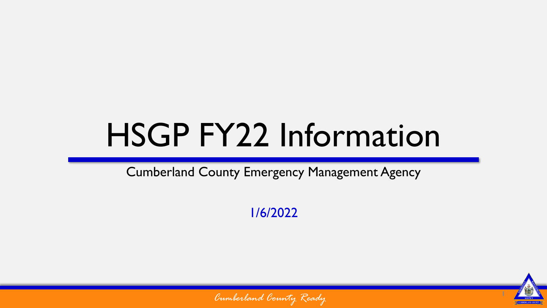## HSGP FY22 Information

Cumberland County Emergency Management Agency

1/6/2022



*Cumberland County Ready*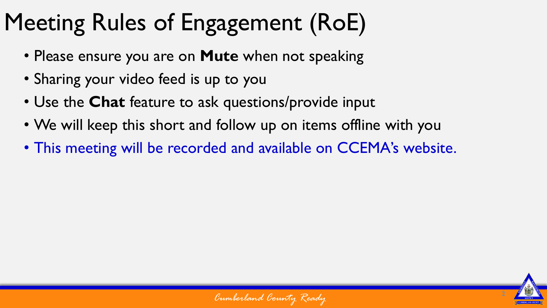## Meeting Rules of Engagement (RoE)

- Please ensure you are on **Mute** when not speaking
- Sharing your video feed is up to you
- Use the **Chat** feature to ask questions/provide input
- We will keep this short and follow up on items offline with you
- This meeting will be recorded and available on CCEMA's website.



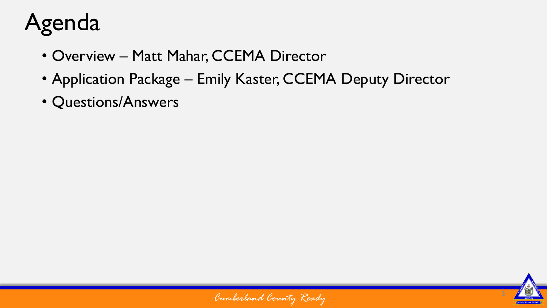## Agenda

- Overview Matt Mahar, CCEMA Director
- Application Package Emily Kaster, CCEMA Deputy Director
- Questions/Answers



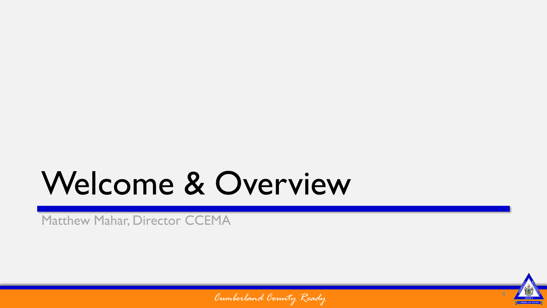## Welcome & Overview

Matthew Mahar, Director CCEMA



*Cumberland County Ready*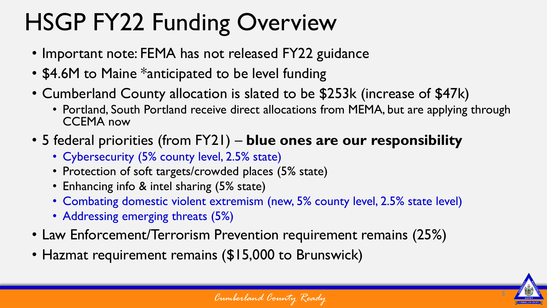## HSGP FY22 Funding Overview

- Important note: FEMA has not released FY22 guidance
- \$4.6M to Maine \*anticipated to be level funding
- Cumberland County allocation is slated to be \$253k (increase of \$47k)
	- Portland, South Portland receive direct allocations from MEMA, but are applying through CCEMA now
- 5 federal priorities (from FY21) **blue ones are our responsibility**
	- Cybersecurity (5% county level, 2.5% state)
	- Protection of soft targets/crowded places (5% state)
	- Enhancing info & intel sharing (5% state)
	- Combating domestic violent extremism (new, 5% county level, 2.5% state level)
	- Addressing emerging threats (5%)
- Law Enforcement/Terrorism Prevention requirement remains (25%)
- Hazmat requirement remains (\$15,000 to Brunswick)

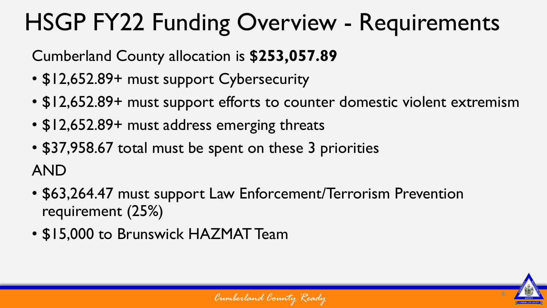## HSGP FY22 Funding Overview - Requirements

Cumberland County allocation is **\$253,057.89**

- \$12,652.89+ must support Cybersecurity
- \$12,652.89+ must support efforts to counter domestic violent extremism
- \$12,652.89+ must address emerging threats
- \$37,958.67 total must be spent on these 3 priorities AND
- \$63,264.47 must support Law Enforcement/Terrorism Prevention requirement (25%)
- \$15,000 to Brunswick HAZMAT Team

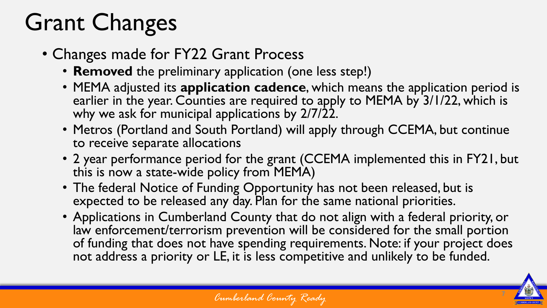## Grant Changes

- Changes made for FY22 Grant Process
	- **Removed** the preliminary application (one less step!)
	- MEMA adjusted its **application cadence**, which means the application period is earlier in the year. Counties are required to apply to MEMA by 3/1/22, which is why we ask for municipal applications by 2/7/22.
	- Metros (Portland and South Portland) will apply through CCEMA, but continue to receive separate allocations
	- 2 year performance period for the grant (CCEMA implemented this in FY21, but this is now a state-wide policy from MEMA)
	- The federal Notice of Funding Opportunity has not been released, but is expected to be released any day. Plan for the same national priorities.
	- Applications in Cumberland County that do not align with a federal priority, or law enforcement/terrorism prevention will be considered for the small portion of funding that does not have spending requirements. Note: if your project does not address a priority or LE, it is less competitive and unlikely to be funded.

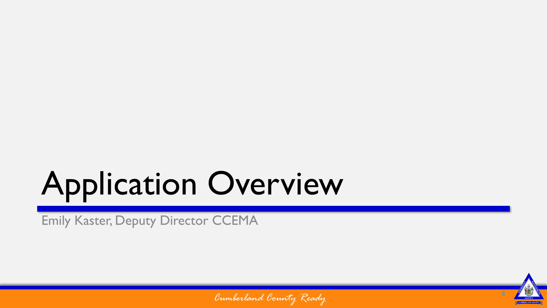# Application Overview

Emily Kaster, Deputy Director CCEMA



*Cumberland County Ready*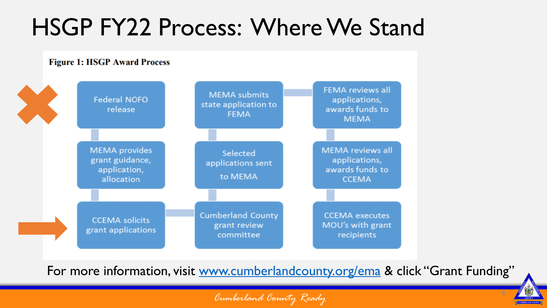### HSGP FY22 Process: Where We Stand

#### **Figure 1: HSGP Award Process FEMA reviews all MEMA** submits **Federal NOFO** applications, state application to awards funds to release **FEMA MEMA MEMA** reviews all **MEMA** provides Selected grant guidance, applications, applications sent awards funds to application, to MEMA allocation **CCEMA Cumberland County CCEMA** executes **CCEMA** solicits grant review MOU's with grant grant applications committee recipients

For more information, visit [www.cumberlandcounty.org/ema](http://www.cumberlandcounty.org/ema) & click "Grant Funding"

*Cumberland County Ready*

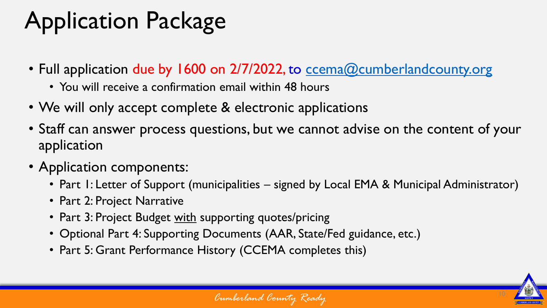## Application Package

- Full application due by 1600 on 2/7/2022, to [ccema@cumberlandcounty.org](mailto:ccema@cumberlandcounty.org)
	- You will receive a confirmation email within 48 hours
- We will only accept complete & electronic applications
- Staff can answer process questions, but we cannot advise on the content of your application
- Application components:
	- Part I: Letter of Support (municipalities signed by Local EMA & Municipal Administrator)
	- Part 2: Project Narrative
	- Part 3: Project Budget with supporting quotes/pricing
	- Optional Part 4: Supporting Documents (AAR, State/Fed guidance, etc.)
	- Part 5: Grant Performance History (CCEMA completes this)

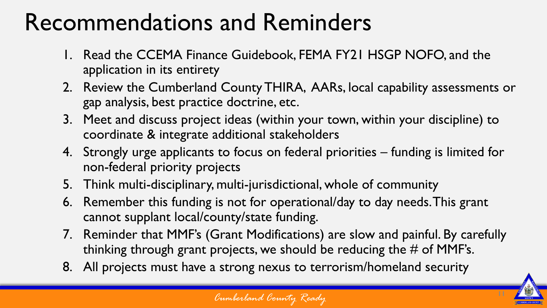### Recommendations and Reminders

- 1. Read the CCEMA Finance Guidebook, FEMA FY21 HSGP NOFO, and the application in its entirety
- 2. Review the Cumberland County THIRA, AARs, local capability assessments or gap analysis, best practice doctrine, etc.
- 3. Meet and discuss project ideas (within your town, within your discipline) to coordinate & integrate additional stakeholders
- 4. Strongly urge applicants to focus on federal priorities funding is limited for non-federal priority projects
- 5. Think multi-disciplinary, multi-jurisdictional, whole of community
- 6. Remember this funding is not for operational/day to day needs. This grant cannot supplant local/county/state funding.
- 7. Reminder that MMF's (Grant Modifications) are slow and painful. By carefully thinking through grant projects, we should be reducing the  $\#$  of MMF's.
- 8. All projects must have a strong nexus to terrorism/homeland security

*Cumberland County Ready*

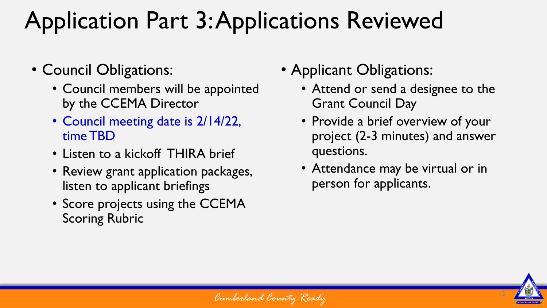## Application Part 3: Applications Reviewed

- Council Obligations:
	- Council members will be appointed by the CCEMA Director
	- Council meeting date is 2/14/22, time TBD
	- Listen to a kickoff THIRA brief
	- Review grant application packages, listen to applicant briefings
	- Score projects using the CCEMA Scoring Rubric
- Applicant Obligations:
	- Attend or send a designee to the Grant Council Day
	- Provide a brief overview of your project (2-3 minutes) and answer questions.
	- Attendance may be virtual or in person for applicants.